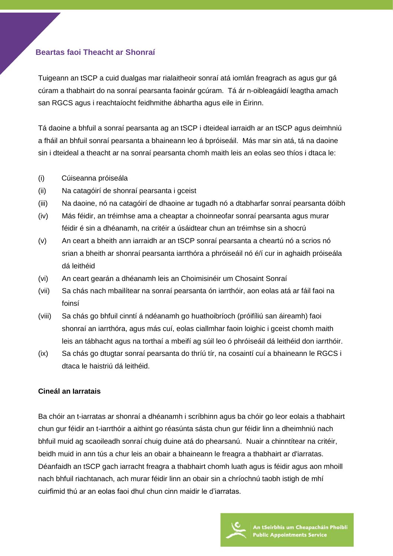# **Beartas faoi Theacht ar Shonraí**

Tuigeann an tSCP a cuid dualgas mar rialaitheoir sonraí atá iomlán freagrach as agus gur gá cúram a thabhairt do na sonraí pearsanta faoinár gcúram. Tá ár n-oibleagáidí leagtha amach san RGCS agus i reachtaíocht feidhmithe ábhartha agus eile in Éirinn.

Tá daoine a bhfuil a sonraí pearsanta ag an tSCP i dteideal iarraidh ar an tSCP agus deimhniú a fháil an bhfuil sonraí pearsanta a bhaineann leo á bpróiseáil. Más mar sin atá, tá na daoine sin i dteideal a theacht ar na sonraí pearsanta chomh maith leis an eolas seo thíos i dtaca le:

- (i) Cúiseanna próiseála
- (ii) Na catagóirí de shonraí pearsanta i gceist
- (iii) Na daoine, nó na catagóirí de dhaoine ar tugadh nó a dtabharfar sonraí pearsanta dóibh
- (iv) Más féidir, an tréimhse ama a cheaptar a choinneofar sonraí pearsanta agus murar féidir é sin a dhéanamh, na critéir a úsáidtear chun an tréimhse sin a shocrú
- (v) An ceart a bheith ann iarraidh ar an tSCP sonraí pearsanta a cheartú nó a scrios nó srian a bheith ar shonraí pearsanta iarrthóra a phróiseáil nó é/í cur in aghaidh próiseála dá leithéid
- (vi) An ceart gearán a dhéanamh leis an Choimisinéir um Chosaint Sonraí
- (vii) Sa chás nach mbailítear na sonraí pearsanta ón iarrthóir, aon eolas atá ar fáil faoi na foinsí
- (viii) Sa chás go bhfuil cinntí á ndéanamh go huathoibríoch (próifíliú san áireamh) faoi shonraí an iarrthóra, agus más cuí, eolas ciallmhar faoin loighic i gceist chomh maith leis an tábhacht agus na torthaí a mbeifí ag súil leo ó phróiseáil dá leithéid don iarrthóir.
- (ix) Sa chás go dtugtar sonraí pearsanta do thríú tír, na cosaintí cuí a bhaineann le RGCS i dtaca le haistriú dá leithéid.

## **Cineál an Iarratais**

Ba chóir an t-iarratas ar shonraí a dhéanamh i scríbhinn agus ba chóir go leor eolais a thabhairt chun gur féidir an t-iarrthóir a aithint go réasúnta sásta chun gur féidir linn a dheimhniú nach bhfuil muid ag scaoileadh sonraí chuig duine atá do phearsanú. Nuair a chinntítear na critéir, beidh muid in ann tús a chur leis an obair a bhaineann le freagra a thabhairt ar d'iarratas. Déanfaidh an tSCP gach iarracht freagra a thabhairt chomh luath agus is féidir agus aon mhoill nach bhfuil riachtanach, ach murar féidir linn an obair sin a chríochnú taobh istigh de mhí cuirfimid thú ar an eolas faoi dhul chun cinn maidir le d'iarratas.

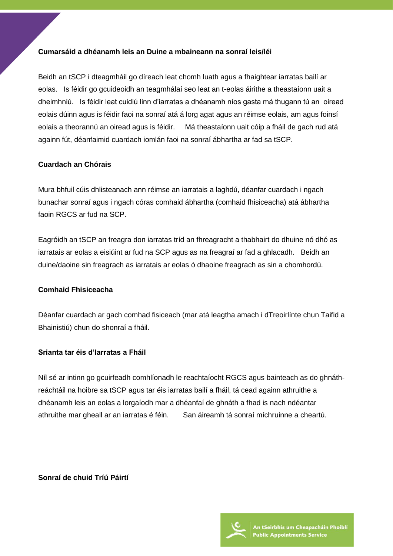#### **Cumarsáid a dhéanamh leis an Duine a mbaineann na sonraí leis/léi**

Beidh an tSCP i dteagmháil go díreach leat chomh luath agus a fhaightear iarratas bailí ar eolas. Is féidir go gcuideoidh an teagmhálaí seo leat an t-eolas áirithe a theastaíonn uait a dheimhniú. Is féidir leat cuidiú linn d'iarratas a dhéanamh níos gasta má thugann tú an oiread eolais dúinn agus is féidir faoi na sonraí atá á lorg agat agus an réimse eolais, am agus foinsí eolais a theorannú an oiread agus is féidir. Má theastaíonn uait cóip a fháil de gach rud atá againn fút, déanfaimid cuardach iomlán faoi na sonraí ábhartha ar fad sa tSCP.

## **Cuardach an Chórais**

Mura bhfuil cúis dhlisteanach ann réimse an iarratais a laghdú, déanfar cuardach i ngach bunachar sonraí agus i ngach córas comhaid ábhartha (comhaid fhisiceacha) atá ábhartha faoin RGCS ar fud na SCP.

Eagróidh an tSCP an freagra don iarratas tríd an fhreagracht a thabhairt do dhuine nó dhó as iarratais ar eolas a eisiúint ar fud na SCP agus as na freagraí ar fad a ghlacadh. Beidh an duine/daoine sin freagrach as iarratais ar eolas ó dhaoine freagrach as sin a chomhordú.

#### **Comhaid Fhisiceacha**

Déanfar cuardach ar gach comhad fisiceach (mar atá leagtha amach i dTreoirlínte chun Taifid a Bhainistiú) chun do shonraí a fháil.

#### **Srianta tar éis d'Iarratas a Fháil**

Níl sé ar intinn go gcuirfeadh comhlíonadh le reachtaíocht RGCS agus bainteach as do ghnáthreáchtáil na hoibre sa tSCP agus tar éis iarratas bailí a fháil, tá cead againn athruithe a dhéanamh leis an eolas a lorgaíodh mar a dhéanfaí de ghnáth a fhad is nach ndéantar athruithe mar gheall ar an iarratas é féin. San áireamh tá sonraí míchruinne a cheartú.

**Sonraí de chuid Tríú Páirtí**

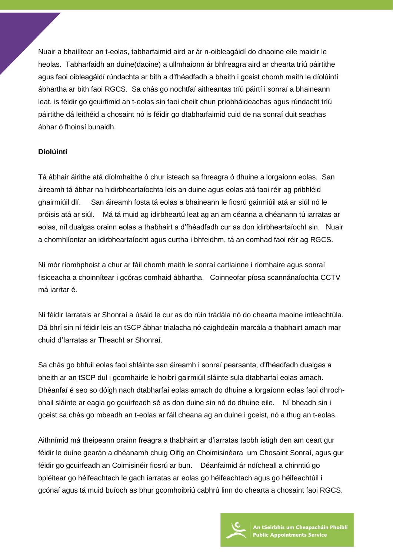Nuair a bhailítear an t-eolas, tabharfaimid aird ar ár n-oibleagáidí do dhaoine eile maidir le heolas. Tabharfaidh an duine(daoine) a ullmhaíonn ár bhfreagra aird ar chearta tríú páirtithe agus faoi oibleagáidí rúndachta ar bith a d'fhéadfadh a bheith i gceist chomh maith le díolúintí ábhartha ar bith faoi RGCS. Sa chás go nochtfaí aitheantas tríú páirtí i sonraí a bhaineann leat, is féidir go gcuirfimid an t-eolas sin faoi cheilt chun príobháideachas agus rúndacht tríú páirtithe dá leithéid a chosaint nó is féidir go dtabharfaimid cuid de na sonraí duit seachas ábhar ó fhoinsí bunaidh.

## **Díolúintí**

Tá ábhair áirithe atá díolmhaithe ó chur isteach sa fhreagra ó dhuine a lorgaíonn eolas. San áireamh tá ábhar na hidirbheartaíochta leis an duine agus eolas atá faoi réir ag pribhléid ghairmiúil dlí. San áireamh fosta tá eolas a bhaineann le fiosrú gairmiúil atá ar siúl nó le próisis atá ar siúl. Má tá muid ag idirbheartú leat ag an am céanna a dhéanann tú iarratas ar eolas, níl dualgas orainn eolas a thabhairt a d'fhéadfadh cur as don idirbheartaíocht sin. Nuair a chomhlíontar an idirbheartaíocht agus curtha i bhfeidhm, tá an comhad faoi réir ag RGCS.

Ní mór ríomhphoist a chur ar fáil chomh maith le sonraí cartlainne i ríomhaire agus sonraí fisiceacha a choinnítear i gcóras comhaid ábhartha. Coinneofar píosa scannánaíochta CCTV má iarrtar é.

Ní féidir Iarratais ar Shonraí a úsáid le cur as do rúin trádála nó do chearta maoine intleachtúla. Dá bhrí sin ní féidir leis an tSCP ábhar trialacha nó caighdeáin marcála a thabhairt amach mar chuid d'Iarratas ar Theacht ar Shonraí.

Sa chás go bhfuil eolas faoi shláinte san áireamh i sonraí pearsanta, d'fhéadfadh dualgas a bheith ar an tSCP dul i gcomhairle le hoibrí gairmiúil sláinte sula dtabharfaí eolas amach. Dhéanfaí é seo so dóigh nach dtabharfaí eolas amach do dhuine a lorgaíonn eolas faoi dhrochbhail sláinte ar eagla go gcuirfeadh sé as don duine sin nó do dhuine eile. Ní bheadh sin i gceist sa chás go mbeadh an t-eolas ar fáil cheana ag an duine i gceist, nó a thug an t-eolas.

Aithnímid má theipeann orainn freagra a thabhairt ar d'iarratas taobh istigh den am ceart gur féidir le duine gearán a dhéanamh chuig Oifig an Choimisinéara um Chosaint Sonraí, agus gur féidir go gcuirfeadh an Coimisinéir fiosrú ar bun. Déanfaimid ár ndícheall a chinntiú go bpléitear go héifeachtach le gach iarratas ar eolas go héifeachtach agus go héifeachtúil i gcónaí agus tá muid buíoch as bhur gcomhoibriú cabhrú linn do chearta a chosaint faoi RGCS.